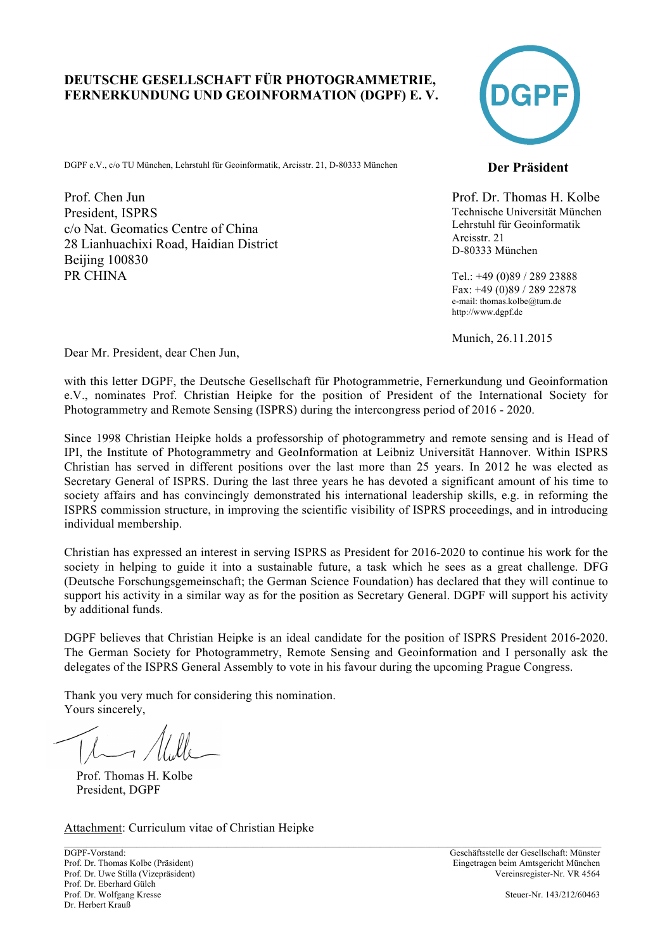## **DEUTSCHE GESELLSCHAFT FÜR PHOTOGRAMMETRIE, FERNERKUNDUNG UND GEOINFORMATION (DGPF) E. V.**

DGPF e.V., c/o TU München, Lehrstuhl für Geoinformatik, Arcisstr. 21, D-80333 München **Der Präsident** 

Prof. Chen Jun President, ISPRS c/o Nat. Geomatics Centre of China 28 Lianhuachixi Road, Haidian District **Beijing 100830** PR CHINA



Prof. Dr. Thomas H. Kolbe Technische Universität München Lehrstuhl für Geoinformatik Arcisstr. 21 D-80333 München

Tel.: +49 (0)89 / 289 23888 Fax: +49 (0)89 / 289 22878 e-mail: thomas.kolbe@tum.de http://www.dgpf.de

Munich, 26.11.2015

Dear Mr. President, dear Chen Jun,

with this letter DGPF, the Deutsche Gesellschaft für Photogrammetrie, Fernerkundung und Geoinformation e.V., nominates Prof. Christian Heipke for the position of President of the International Society for Photogrammetry and Remote Sensing (ISPRS) during the intercongress period of 2016 - 2020.

Since 1998 Christian Heipke holds a professorship of photogrammetry and remote sensing and is Head of IPI, the Institute of Photogrammetry and GeoInformation at Leibniz Universität Hannover. Within ISPRS Christian has served in different positions over the last more than 25 years. In 2012 he was elected as Secretary General of ISPRS. During the last three years he has devoted a significant amount of his time to society affairs and has convincingly demonstrated his international leadership skills, e.g. in reforming the ISPRS commission structure, in improving the scientific visibility of ISPRS proceedings, and in introducing individual membership.

Christian has expressed an interest in serving ISPRS as President for 2016-2020 to continue his work for the society in helping to guide it into a sustainable future, a task which he sees as a great challenge. DFG (Deutsche Forschungsgemeinschaft; the German Science Foundation) has declared that they will continue to support his activity in a similar way as for the position as Secretary General. DGPF will support his activity by additional funds.

DGPF believes that Christian Heipke is an ideal candidate for the position of ISPRS President 2016-2020. The German Society for Photogrammetry, Remote Sensing and Geoinformation and I personally ask the delegates of the ISPRS General Assembly to vote in his favour during the upcoming Prague Congress.

 $\_$  , and the state of the state of the state of the state of the state of the state of the state of the state of the state of the state of the state of the state of the state of the state of the state of the state of the

Thank you very much for considering this nomination. Yours sincerely,

 Prof. Thomas H. Kolbe President, DGPF

Attachment: Curriculum vitae of Christian Heipke

DGPF-Vorstand: Geschäftsstelle der Gesellschaft: Münster Prof. Dr. Thomas Kolbe (Präsident) Eingetragen beim Amtsgericht München